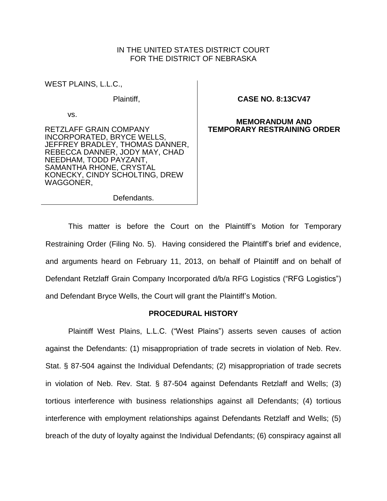# IN THE UNITED STATES DISTRICT COURT FOR THE DISTRICT OF NEBRASKA

WEST PLAINS, L.L.C.,

Plaintiff,

vs.

RETZLAFF GRAIN COMPANY INCORPORATED, BRYCE WELLS, JEFFREY BRADLEY, THOMAS DANNER, REBECCA DANNER, JODY MAY, CHAD NEEDHAM, TODD PAYZANT, SAMANTHA RHONE, CRYSTAL KONECKY, CINDY SCHOLTING, DREW WAGGONER,

## **CASE NO. 8:13CV47**

## **MEMORANDUM AND TEMPORARY RESTRAINING ORDER**

Defendants.

This matter is before the Court on the Plaintiff's Motion for Temporary Restraining Order (Filing No. 5). Having considered the Plaintiff's brief and evidence, and arguments heard on February 11, 2013, on behalf of Plaintiff and on behalf of Defendant Retzlaff Grain Company Incorporated d/b/a RFG Logistics ("RFG Logistics") and Defendant Bryce Wells, the Court will grant the Plaintiff's Motion.

## **PROCEDURAL HISTORY**

Plaintiff West Plains, L.L.C. ("West Plains") asserts seven causes of action against the Defendants: (1) misappropriation of trade secrets in violation of Neb. Rev. Stat. § 87-504 against the Individual Defendants; (2) misappropriation of trade secrets in violation of Neb. Rev. Stat. § 87-504 against Defendants Retzlaff and Wells; (3) tortious interference with business relationships against all Defendants; (4) tortious interference with employment relationships against Defendants Retzlaff and Wells; (5) breach of the duty of loyalty against the Individual Defendants; (6) conspiracy against all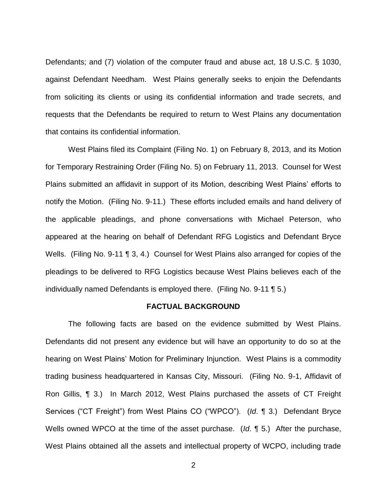Defendants; and (7) violation of the computer fraud and abuse act, 18 U.S.C. § 1030, against Defendant Needham. West Plains generally seeks to enjoin the Defendants from soliciting its clients or using its confidential information and trade secrets, and requests that the Defendants be required to return to West Plains any documentation that contains its confidential information.

West Plains filed its Complaint (Filing No. 1) on February 8, 2013, and its Motion for Temporary Restraining Order (Filing No. 5) on February 11, 2013. Counsel for West Plains submitted an affidavit in support of its Motion, describing West Plains' efforts to notify the Motion. (Filing No. 9-11.) These efforts included emails and hand delivery of the applicable pleadings, and phone conversations with Michael Peterson, who appeared at the hearing on behalf of Defendant RFG Logistics and Defendant Bryce Wells. (Filing No. 9-11 ¶ 3, 4.) Counsel for West Plains also arranged for copies of the pleadings to be delivered to RFG Logistics because West Plains believes each of the individually named Defendants is employed there. (Filing No. 9-11 ¶ 5.)

# **FACTUAL BACKGROUND**

The following facts are based on the evidence submitted by West Plains. Defendants did not present any evidence but will have an opportunity to do so at the hearing on West Plains' Motion for Preliminary Injunction. West Plains is a commodity trading business headquartered in Kansas City, Missouri. (Filing No. 9-1, Affidavit of Ron Gillis, ¶ 3.) In March 2012, West Plains purchased the assets of CT Freight Services ("CT Freight") from West Plains CO ("WPCO"). (*Id*. ¶ 3.) Defendant Bryce Wells owned WPCO at the time of the asset purchase. (*Id*. ¶ 5.) After the purchase, West Plains obtained all the assets and intellectual property of WCPO, including trade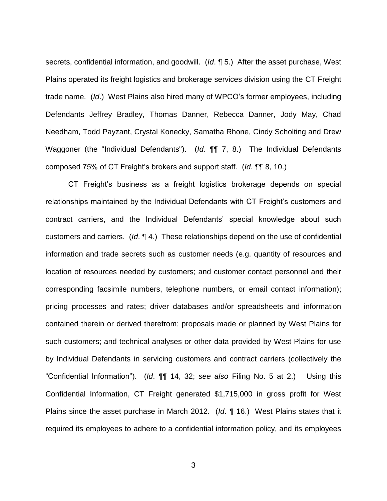secrets, confidential information, and goodwill. (*Id*. ¶ 5.) After the asset purchase, West Plains operated its freight logistics and brokerage services division using the CT Freight trade name. (*Id*.) West Plains also hired many of WPCO's former employees, including Defendants Jeffrey Bradley, Thomas Danner, Rebecca Danner, Jody May, Chad Needham, Todd Payzant, Crystal Konecky, Samatha Rhone, Cindy Scholting and Drew Waggoner (the "Individual Defendants"). (*Id*. ¶¶ 7, 8.) The Individual Defendants composed 75% of CT Freight's brokers and support staff. (*Id*. ¶¶ 8, 10.)

CT Freight's business as a freight logistics brokerage depends on special relationships maintained by the Individual Defendants with CT Freight's customers and contract carriers, and the Individual Defendants' special knowledge about such customers and carriers. (*Id*. ¶ 4.) These relationships depend on the use of confidential information and trade secrets such as customer needs (e.g. quantity of resources and location of resources needed by customers; and customer contact personnel and their corresponding facsimile numbers, telephone numbers, or email contact information); pricing processes and rates; driver databases and/or spreadsheets and information contained therein or derived therefrom; proposals made or planned by West Plains for such customers; and technical analyses or other data provided by West Plains for use by Individual Defendants in servicing customers and contract carriers (collectively the "Confidential Information"). (*Id*. ¶¶ 14, 32; *see also* Filing No. 5 at 2.) Using this Confidential Information, CT Freight generated \$1,715,000 in gross profit for West Plains since the asset purchase in March 2012. (*Id*. ¶ 16.) West Plains states that it required its employees to adhere to a confidential information policy, and its employees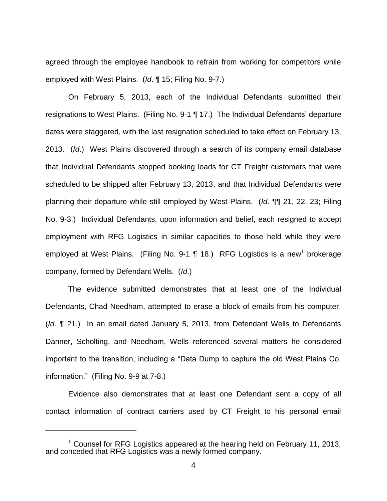agreed through the employee handbook to refrain from working for competitors while employed with West Plains. (*Id*. ¶ 15; Filing No. 9-7.)

On February 5, 2013, each of the Individual Defendants submitted their resignations to West Plains. (Filing No. 9-1 ¶ 17.) The Individual Defendants' departure dates were staggered, with the last resignation scheduled to take effect on February 13, 2013. (*Id*.) West Plains discovered through a search of its company email database that Individual Defendants stopped booking loads for CT Freight customers that were scheduled to be shipped after February 13, 2013, and that Individual Defendants were planning their departure while still employed by West Plains. (*Id*. ¶¶ 21, 22, 23; Filing No. 9-3.) Individual Defendants, upon information and belief, each resigned to accept employment with RFG Logistics in similar capacities to those held while they were employed at West Plains. (Filing No. 9-1  $\P$  18.) RFG Logistics is a new<sup>1</sup> brokerage company, formed by Defendant Wells. (*Id*.)

The evidence submitted demonstrates that at least one of the Individual Defendants, Chad Needham, attempted to erase a block of emails from his computer. (*Id*. ¶ 21.) In an email dated January 5, 2013, from Defendant Wells to Defendants Danner, Scholting, and Needham, Wells referenced several matters he considered important to the transition, including a "Data Dump to capture the old West Plains Co. information." (Filing No. 9-9 at 7-8.)

Evidence also demonstrates that at least one Defendant sent a copy of all contact information of contract carriers used by CT Freight to his personal email

 $\overline{a}$ 

 $1$  Counsel for RFG Logistics appeared at the hearing held on February 11, 2013, and conceded that RFG Logistics was a newly formed company.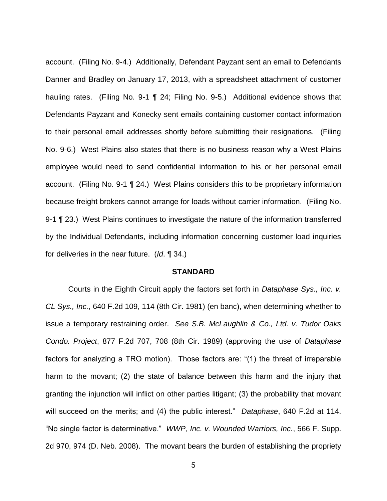account. (Filing No. 9-4.) Additionally, Defendant Payzant sent an email to Defendants Danner and Bradley on January 17, 2013, with a spreadsheet attachment of customer hauling rates. (Filing No. 9-1 ¶ 24; Filing No. 9-5.) Additional evidence shows that Defendants Payzant and Konecky sent emails containing customer contact information to their personal email addresses shortly before submitting their resignations. (Filing No. 9-6.) West Plains also states that there is no business reason why a West Plains employee would need to send confidential information to his or her personal email account. (Filing No. 9-1 ¶ 24.) West Plains considers this to be proprietary information because freight brokers cannot arrange for loads without carrier information. (Filing No. 9-1 ¶ 23.) West Plains continues to investigate the nature of the information transferred by the Individual Defendants, including information concerning customer load inquiries for deliveries in the near future. (*Id*. ¶ 34.)

## **STANDARD**

Courts in the Eighth Circuit apply the factors set forth in *Dataphase Sys., Inc. v. CL Sys., Inc.*, 640 F.2d 109, 114 (8th Cir. 1981) (en banc), when determining whether to issue a temporary restraining order. *See S.B. McLaughlin & Co., Ltd. v. Tudor Oaks Condo. Project*, 877 F.2d 707, 708 (8th Cir. 1989) (approving the use of *Dataphase* factors for analyzing a TRO motion). Those factors are: "(1) the threat of irreparable harm to the movant; (2) the state of balance between this harm and the injury that granting the injunction will inflict on other parties litigant; (3) the probability that movant will succeed on the merits; and (4) the public interest." *Dataphase*, 640 F.2d at 114. "No single factor is determinative." *WWP, Inc. v. Wounded Warriors, Inc.*, 566 F. Supp. 2d 970, 974 (D. Neb. 2008). The movant bears the burden of establishing the propriety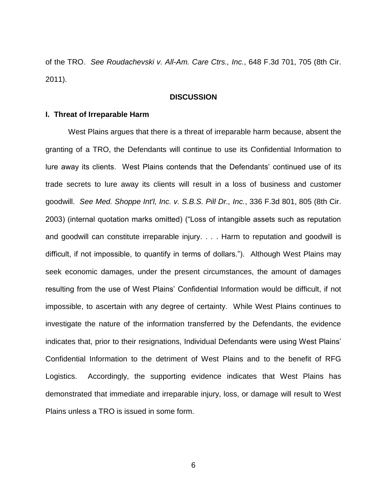of the TRO. *See Roudachevski v. All-Am. Care Ctrs., Inc.*, 648 F.3d 701, 705 (8th Cir. 2011).

#### **DISCUSSION**

## **I. Threat of Irreparable Harm**

West Plains argues that there is a threat of irreparable harm because, absent the granting of a TRO, the Defendants will continue to use its Confidential Information to lure away its clients. West Plains contends that the Defendants' continued use of its trade secrets to lure away its clients will result in a loss of business and customer goodwill. *See Med. Shoppe Int'l, Inc. v. S.B.S. Pill Dr., Inc.*, 336 F.3d 801, 805 (8th Cir. 2003) (internal quotation marks omitted) ("Loss of intangible assets such as reputation and goodwill can constitute irreparable injury. . . . Harm to reputation and goodwill is difficult, if not impossible, to quantify in terms of dollars."). Although West Plains may seek economic damages, under the present circumstances, the amount of damages resulting from the use of West Plains' Confidential Information would be difficult, if not impossible, to ascertain with any degree of certainty. While West Plains continues to investigate the nature of the information transferred by the Defendants, the evidence indicates that, prior to their resignations, Individual Defendants were using West Plains' Confidential Information to the detriment of West Plains and to the benefit of RFG Logistics. Accordingly, the supporting evidence indicates that West Plains has demonstrated that immediate and irreparable injury, loss, or damage will result to West Plains unless a TRO is issued in some form.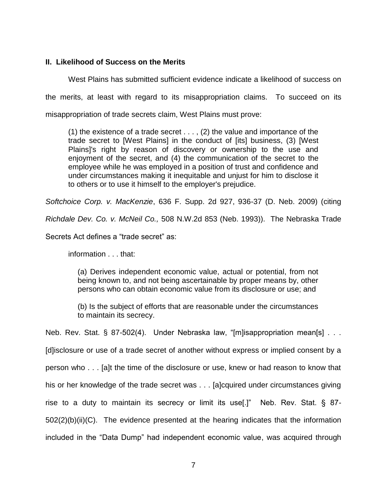# **II. Likelihood of Success on the Merits**

West Plains has submitted sufficient evidence indicate a likelihood of success on the merits, at least with regard to its misappropriation claims. To succeed on its misappropriation of trade secrets claim, West Plains must prove:

(1) the existence of a trade secret  $\dots$ , (2) the value and importance of the trade secret to [West Plains] in the conduct of [its] business, (3) [West Plains]'s right by reason of discovery or ownership to the use and enjoyment of the secret, and (4) the communication of the secret to the employee while he was employed in a position of trust and confidence and under circumstances making it inequitable and unjust for him to disclose it to others or to use it himself to the employer's prejudice.

*Softchoice Corp. v. MacKenzie*, 636 F. Supp. 2d 927, 936-37 (D. Neb. 2009) (citing *Richdale Dev. Co. v. McNeil Co.,* 508 N.W.2d 853 (Neb. 1993)). The Nebraska Trade Secrets Act defines a "trade secret" as:

information . . . that:

(a) Derives independent economic value, actual or potential, from not being known to, and not being ascertainable by proper means by, other persons who can obtain economic value from its disclosure or use; and

(b) Is the subject of efforts that are reasonable under the circumstances to maintain its secrecy.

Neb. Rev. Stat. § 87-502(4). Under Nebraska law, "[m]isappropriation mean[s] . . . [d]isclosure or use of a trade secret of another without express or implied consent by a person who . . . [a]t the time of the disclosure or use, knew or had reason to know that his or her knowledge of the trade secret was . . . [a]cquired under circumstances giving rise to a duty to maintain its secrecy or limit its use[.]" Neb. Rev. Stat. § 87- 502(2)(b)(ii)(C). The evidence presented at the hearing indicates that the information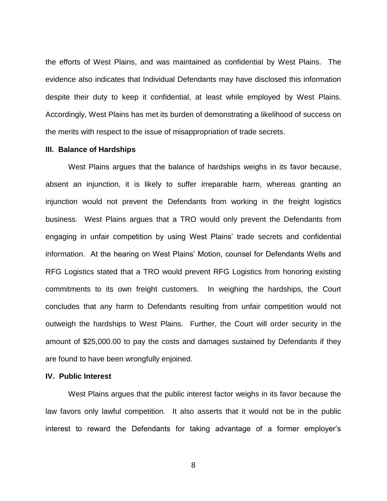the efforts of West Plains, and was maintained as confidential by West Plains. The evidence also indicates that Individual Defendants may have disclosed this information despite their duty to keep it confidential, at least while employed by West Plains. Accordingly, West Plains has met its burden of demonstrating a likelihood of success on the merits with respect to the issue of misappropriation of trade secrets.

### **III. Balance of Hardships**

West Plains argues that the balance of hardships weighs in its favor because, absent an injunction, it is likely to suffer irreparable harm, whereas granting an injunction would not prevent the Defendants from working in the freight logistics business. West Plains argues that a TRO would only prevent the Defendants from engaging in unfair competition by using West Plains' trade secrets and confidential information. At the hearing on West Plains' Motion, counsel for Defendants Wells and RFG Logistics stated that a TRO would prevent RFG Logistics from honoring existing commitments to its own freight customers. In weighing the hardships, the Court concludes that any harm to Defendants resulting from unfair competition would not outweigh the hardships to West Plains. Further, the Court will order security in the amount of \$25,000.00 to pay the costs and damages sustained by Defendants if they are found to have been wrongfully enjoined.

### **IV. Public Interest**

West Plains argues that the public interest factor weighs in its favor because the law favors only lawful competition. It also asserts that it would not be in the public interest to reward the Defendants for taking advantage of a former employer's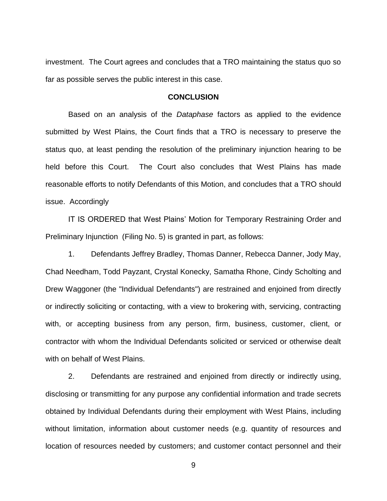investment. The Court agrees and concludes that a TRO maintaining the status quo so far as possible serves the public interest in this case.

### **CONCLUSION**

Based on an analysis of the *Dataphase* factors as applied to the evidence submitted by West Plains, the Court finds that a TRO is necessary to preserve the status quo, at least pending the resolution of the preliminary injunction hearing to be held before this Court. The Court also concludes that West Plains has made reasonable efforts to notify Defendants of this Motion, and concludes that a TRO should issue. Accordingly

IT IS ORDERED that West Plains' Motion for Temporary Restraining Order and Preliminary Injunction (Filing No. 5) is granted in part, as follows:

1. Defendants Jeffrey Bradley, Thomas Danner, Rebecca Danner, Jody May, Chad Needham, Todd Payzant, Crystal Konecky, Samatha Rhone, Cindy Scholting and Drew Waggoner (the "Individual Defendants") are restrained and enjoined from directly or indirectly soliciting or contacting, with a view to brokering with, servicing, contracting with, or accepting business from any person, firm, business, customer, client, or contractor with whom the Individual Defendants solicited or serviced or otherwise dealt with on behalf of West Plains.

2. Defendants are restrained and enjoined from directly or indirectly using, disclosing or transmitting for any purpose any confidential information and trade secrets obtained by Individual Defendants during their employment with West Plains, including without limitation, information about customer needs (e.g. quantity of resources and location of resources needed by customers; and customer contact personnel and their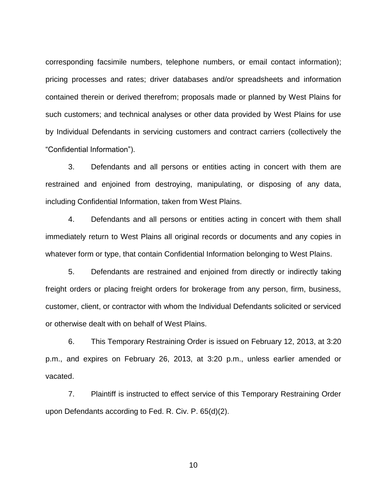corresponding facsimile numbers, telephone numbers, or email contact information); pricing processes and rates; driver databases and/or spreadsheets and information contained therein or derived therefrom; proposals made or planned by West Plains for such customers; and technical analyses or other data provided by West Plains for use by Individual Defendants in servicing customers and contract carriers (collectively the "Confidential Information").

3. Defendants and all persons or entities acting in concert with them are restrained and enjoined from destroying, manipulating, or disposing of any data, including Confidential Information, taken from West Plains.

4. Defendants and all persons or entities acting in concert with them shall immediately return to West Plains all original records or documents and any copies in whatever form or type, that contain Confidential Information belonging to West Plains.

5. Defendants are restrained and enjoined from directly or indirectly taking freight orders or placing freight orders for brokerage from any person, firm, business, customer, client, or contractor with whom the Individual Defendants solicited or serviced or otherwise dealt with on behalf of West Plains.

6. This Temporary Restraining Order is issued on February 12, 2013, at 3:20 p.m., and expires on February 26, 2013, at 3:20 p.m., unless earlier amended or vacated.

7. Plaintiff is instructed to effect service of this Temporary Restraining Order upon Defendants according to Fed. R. Civ. P. 65(d)(2).